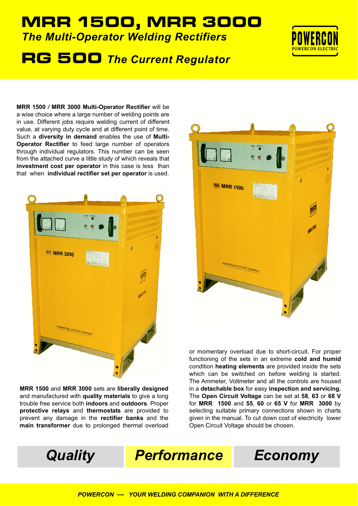## *The Multi-Operator Welding Rectifiers* MRR 1500, MRR 3000

# RG500 *The Current Regulator*



**MRR 1500** */* **MRR 3000 Multi-Operator Rectifier** will be a wise choice where a large number of welding points are in use. Different jobs require welding current of different value, at varying duty cycle and at different point of time. Such a **diversity in demand** enables the use of **Multi-Operator Rectifier** to feed large number of operators through individual regulators. This number can be seen from the attached curve a little study of which reveals that **investment cost per operator** in this case is less than that when **individual rectifier set per operator** is used.



**MRR 1500** and **MRR 3000** sets are **liberally designed** and manufactured with **quality materials** to give a long trouble free service both **indoors** and **outdoors**. Proper **protective relays** and **thermostats** are provided to prevent any damage in the **rectifier banks** and the **main transformer** due to prolonged thermal overload



or momentary overload due to short-circuit. For proper functioning of the sets in an extreme **cold and humid** condition **heating elements** are provided inside the sets which can be switched on before welding is started. The Ammeter, Voltmeter and all the controls are housed in a **detachable box** for easy **inspection and servicing.** The **Open Circuit Voltage** can be set at **58**, **63** or **68 V** for **MRR 1500** and **55**, **60** or **65 V** for **MRR 3000** by selecting suitable primary connections shown in charts given in the manual. To cut down cost of electricity lower Open Circuit Voltage should be chosen.

*Quality Performance Economy*